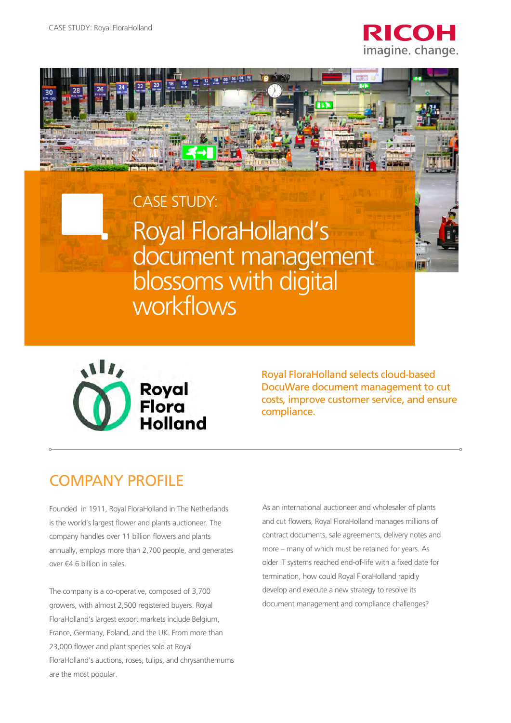



# Royal FloraHolland's document management blossoms with digital workflows CASE STUDY:



Royal FloraHolland selects cloud-based DocuWare document management to cut costs, improve customer service, and ensure compliance.

## COMPANY PROFILE

Founded in 1911, Royal FloraHolland in The Netherlands is the world's largest flower and plants auctioneer. The company handles over 11 billion flowers and plants annually, employs more than 2,700 people, and generates over €4.6 billion in sales.

The company is a co-operative, composed of 3,700 growers, with almost 2,500 registered buyers. Royal FloraHolland's largest export markets include Belgium, France, Germany, Poland, and the UK. From more than 23,000 flower and plant species sold at Royal FloraHolland's auctions, roses, tulips, and chrysanthemums are the most popular.

As an international auctioneer and wholesaler of plants and cut flowers, Royal FloraHolland manages millions of contract documents, sale agreements, delivery notes and more – many of which must be retained for years. As older IT systems reached end-of-life with a fixed date for termination, how could Royal FloraHolland rapidly develop and execute a new strategy to resolve its document management and compliance challenges?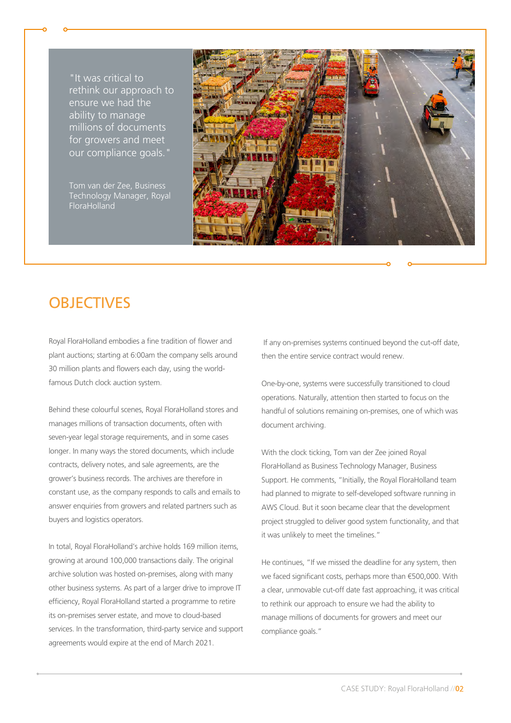"It was critical to rethink our approach to ensure we had the ability to manage millions of documents for growers and meet our compliance goals."

Tom van der Zee, Business Technology Manager, Royal FloraHolland



## **OBJECTIVES**

Royal FloraHolland embodies a fine tradition of flower and plant auctions; starting at 6:00am the company sells around 30 million plants and flowers each day, using the worldfamous Dutch clock auction system.

Behind these colourful scenes, Royal FloraHolland stores and manages millions of transaction documents, often with seven-year legal storage requirements, and in some cases longer. In many ways the stored documents, which include contracts, delivery notes, and sale agreements, are the grower's business records. The archives are therefore in constant use, as the company responds to calls and emails to answer enquiries from growers and related partners such as buyers and logistics operators.

In total, Royal FloraHolland's archive holds 169 million items, growing at around 100,000 transactions daily. The original archive solution was hosted on-premises, along with many other business systems. As part of a larger drive to improve IT efficiency, Royal FloraHolland started a programme to retire its on-premises server estate, and move to cloud-based services. In the transformation, third-party service and support agreements would expire at the end of March 2021.

 If any on-premises systems continued beyond the cut-off date, then the entire service contract would renew.

One-by-one, systems were successfully transitioned to cloud operations. Naturally, attention then started to focus on the handful of solutions remaining on-premises, one of which was document archiving.

With the clock ticking, Tom van der Zee joined Royal FloraHolland as Business Technology Manager, Business Support. He comments, "Initially, the Royal FloraHolland team had planned to migrate to self-developed software running in AWS Cloud. But it soon became clear that the development project struggled to deliver good system functionality, and that it was unlikely to meet the timelines."

He continues, "If we missed the deadline for any system, then we faced significant costs, perhaps more than €500,000. With a clear, unmovable cut-off date fast approaching, it was critical to rethink our approach to ensure we had the ability to manage millions of documents for growers and meet our compliance goals."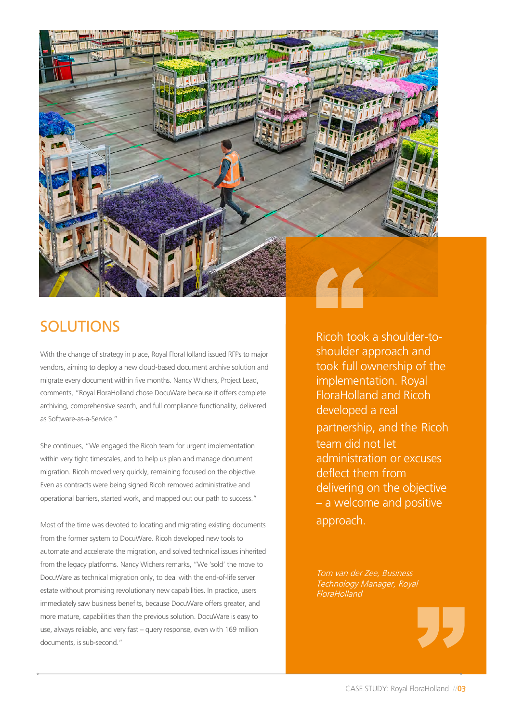

## SOLUTIONS

With the change of strategy in place, Royal FloraHolland issued RFPs to major vendors, aiming to deploy a new cloud-based document archive solution and migrate every document within five months. Nancy Wichers, Project Lead, comments, "Royal FloraHolland chose DocuWare because it offers complete archiving, comprehensive search, and full compliance functionality, delivered as Software-as-a-Service."

She continues, "We engaged the Ricoh team for urgent implementation within very tight timescales, and to help us plan and manage document migration. Ricoh moved very quickly, remaining focused on the objective. Even as contracts were being signed Ricoh removed administrative and operational barriers, started work, and mapped out our path to success."

Most of the time was devoted to locating and migrating existing documents from the former system to DocuWare. Ricoh developed new tools to automate and accelerate the migration, and solved technical issues inherited from the legacy platforms. Nancy Wichers remarks, "We 'sold' the move to DocuWare as technical migration only, to deal with the end-of-life server estate without promising revolutionary new capabilities. In practice, users immediately saw business benefits, because DocuWare offers greater, and more mature, capabilities than the previous solution. DocuWare is easy to use, always reliable, and very fast – query response, even with 169 million documents, is sub-second."

Ricoh took a shoulder-toshoulder approach and took full ownership of the implementation. Royal FloraHolland and Ricoh developed a real partnership, and the Ricoh team did not let administration or excuses deflect them from delivering on the objective – a welcome and positive approach.

Tom van der Zee, Business Technology Manager, Royal FloraHolland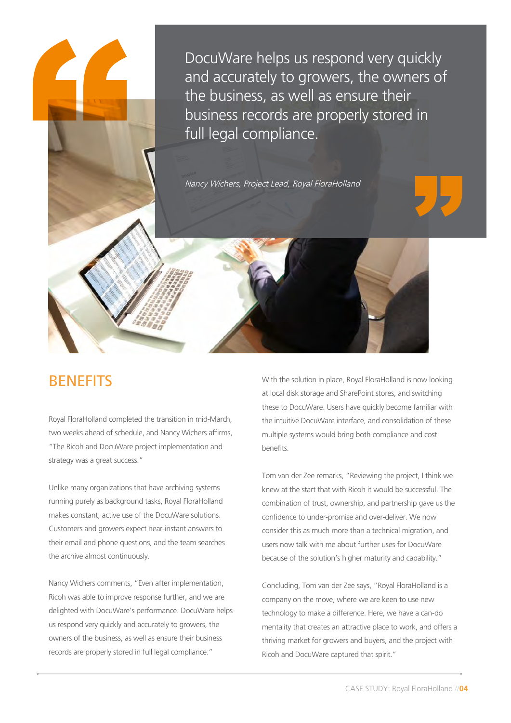DocuWare helps us respond very quickly and accurately to growers, the owners of the business, as well as ensure their business records are properly stored in full legal compliance.

Nancy Wichers, Project Lead, Royal FloraHolland

### **BENEFITS**

Royal FloraHolland completed the transition in mid-March, two weeks ahead of schedule, and Nancy Wichers affirms, "The Ricoh and DocuWare project implementation and strategy was a great success."

Unlike many organizations that have archiving systems running purely as background tasks, Royal FloraHolland makes constant, active use of the DocuWare solutions. Customers and growers expect near-instant answers to their email and phone questions, and the team searches the archive almost continuously.

Nancy Wichers comments, "Even after implementation, Ricoh was able to improve response further, and we are delighted with DocuWare's performance. DocuWare helps us respond very quickly and accurately to growers, the owners of the business, as well as ensure their business records are properly stored in full legal compliance."

With the solution in place, Royal FloraHolland is now looking at local disk storage and SharePoint stores, and switching these to DocuWare. Users have quickly become familiar with the intuitive DocuWare interface, and consolidation of these multiple systems would bring both compliance and cost benefits.

Tom van der Zee remarks, "Reviewing the project, I think we knew at the start that with Ricoh it would be successful. The combination of trust, ownership, and partnership gave us the confidence to under-promise and over-deliver. We now consider this as much more than a technical migration, and users now talk with me about further uses for DocuWare because of the solution's higher maturity and capability."

Concluding, Tom van der Zee says, "Royal FloraHolland is a company on the move, where we are keen to use new technology to make a difference. Here, we have a can-do mentality that creates an attractive place to work, and offers a thriving market for growers and buyers, and the project with Ricoh and DocuWare captured that spirit."